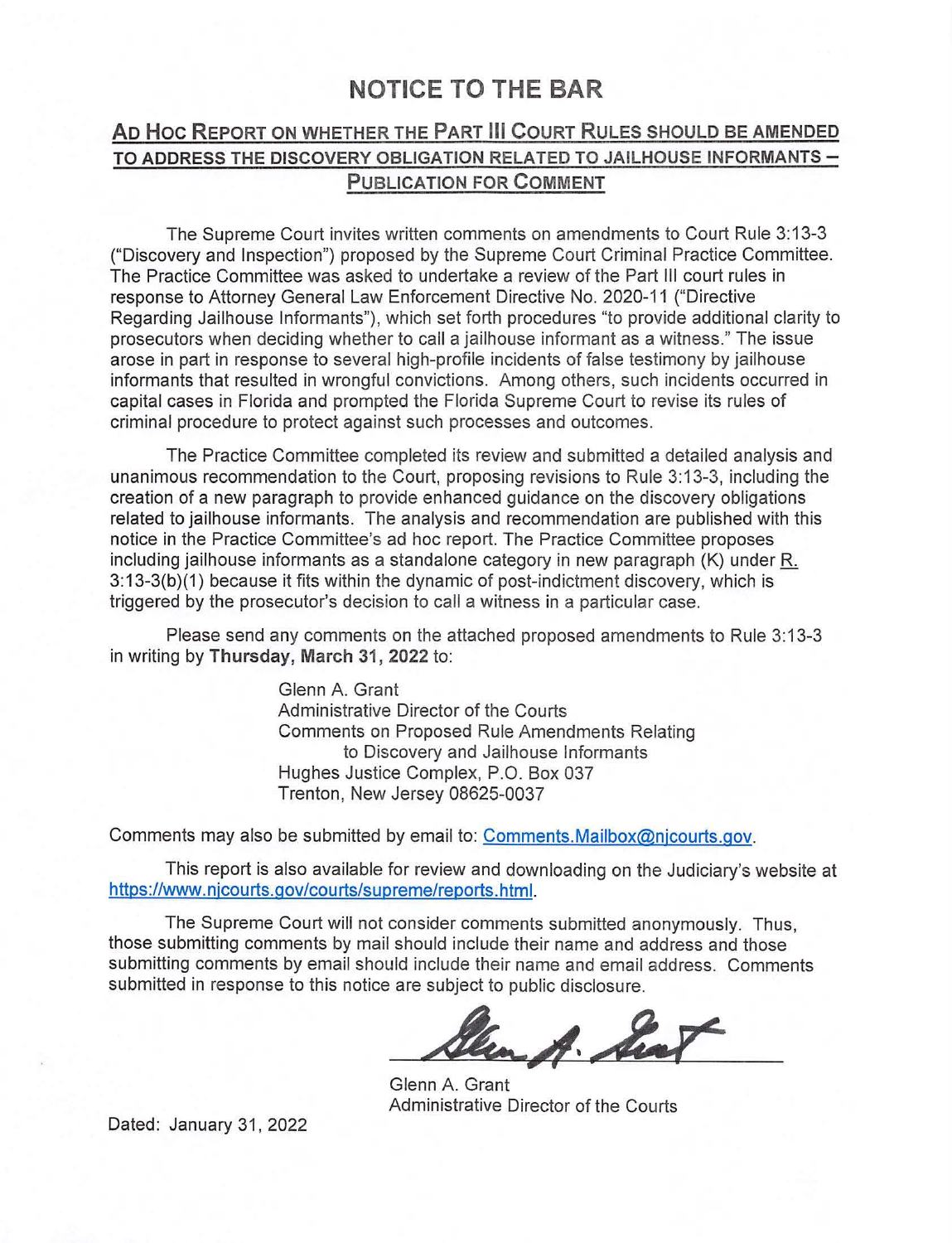### **NOTICE TO THE BAR**

#### **AD Hoc R EPORT ON WHETHER THE PART Ill COURT RULES SHOULD BE AMENDED TO ADDRESS THE DISCOVERY OBLIGATION RELATED TO JAILHOUSE INFORMANTS -PUBLICATION FOR COMMENT**

The Supreme Court invites written comments on amendments to Court Rule 3: 13-3 ("Discovery and Inspection") proposed by the Supreme Court Criminal Practice Committee. The Practice Committee was asked to undertake a review of the Part Ill court rules in response to Attorney General Law Enforcement Directive No. 2020-11 ("Directive Regarding Jailhouse Informants"), which set forth procedures "to provide additional clarity to prosecutors when deciding whether to call a jailhouse informant as a witness." The issue arose in part in response to several high-profile incidents of false testimony by jailhouse informants that resulted in wrongful convictions. Among others, such incidents occurred in capital cases in Florida and prompted the Florida Supreme Court to revise its rules of criminal procedure to protect against such processes and outcomes.

The Practice Committee completed its review and submitted a detailed analysis and unanimous recommendation to the Court, proposing revisions to Rule 3: 13-3, including the creation of a new paragraph to provide enhanced guidance on the discovery obligations related to jailhouse informants. The analysis and recommendation are published with this notice in the Practice Committee's ad hoc report. The Practice Committee proposes including jailhouse informants as a standalone category in new paragraph  $(K)$  under  $R$ . 3:13-3(b)(1) because it fits within the dynamic of post-indictment discovery, which is triggered by the prosecutor's decision to call a witness in a particular case.

Please send any comments on the attached proposed amendments to Rule 3:13-3 in writing by **Thursday, March 31, 2022** to:

> Glenn A. Grant Administrative Director of the Courts Comments on Proposed Rule Amendments Relating to Discovery and Jailhouse Informants Hughes Justice Complex, P.O. Box 037 Trenton, New Jersey 08625-0037

Comments may also be submitted by email to: [Comments.Mailbox@njcourts.gov](mailto:Comments.Mailbox@njcourts.gov).

This report is also available for review and downloading on the Judiciary's website at <https://www.njcourts.gov/courts/supreme/reports.html>.

The Supreme Court will not consider comments submitted anonymously. Thus, those submitting comments by mail should include their name and address and those submitting comments by email should include their name and email address. Comments submitted in response to this notice are subject to public disclosure.

en A. he

Glenn A. Grant Administrative Director of the Courts

Dated: January 31, 2022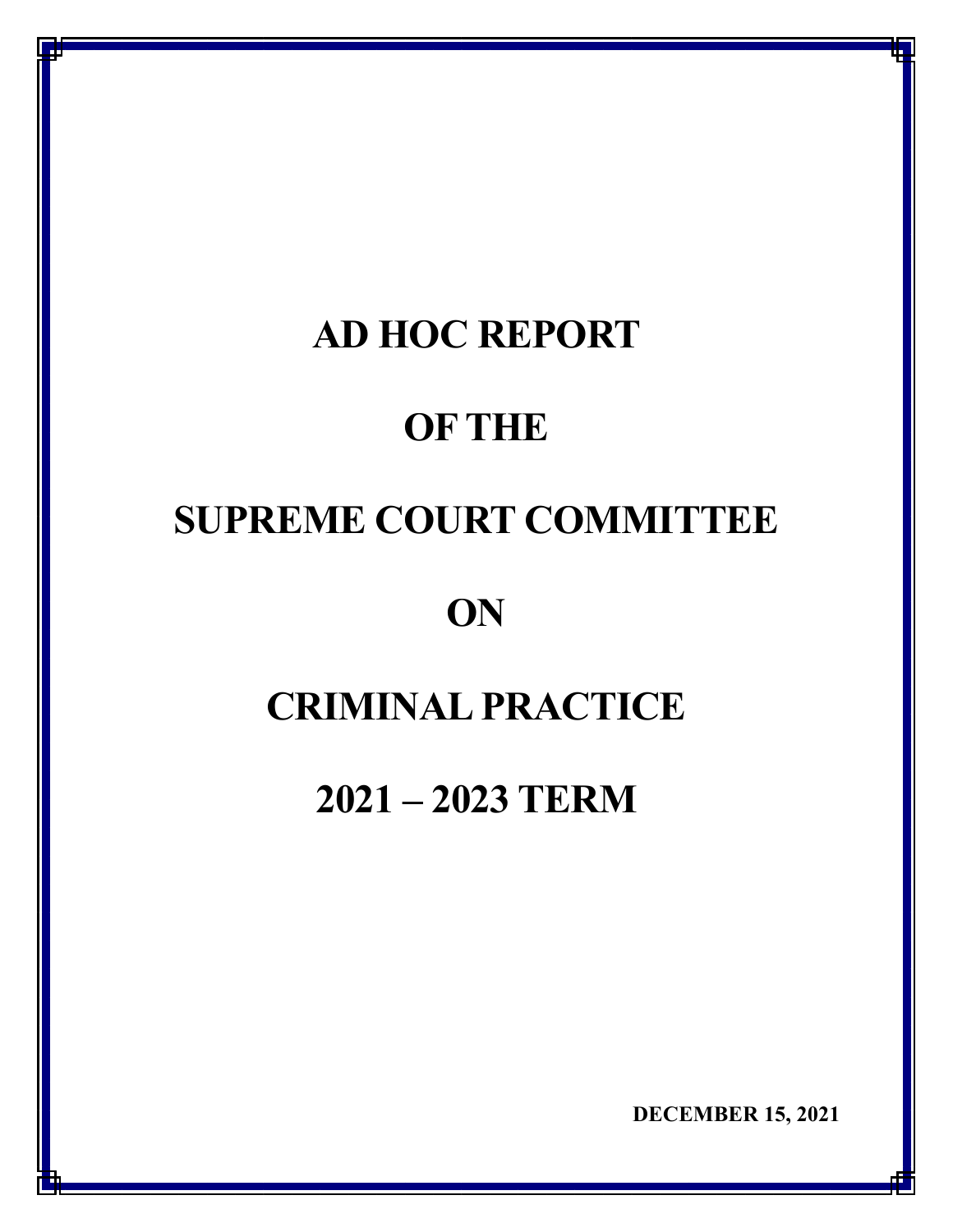## **AD HOC REPORT**

## **OF THE**

# **SUPREME COURT COMMITTEE**

### **ON**

# **CRIMINAL PRACTICE**

### **2021 – 2023 TERM**

**DECEMBER 15, 2021** 

**q**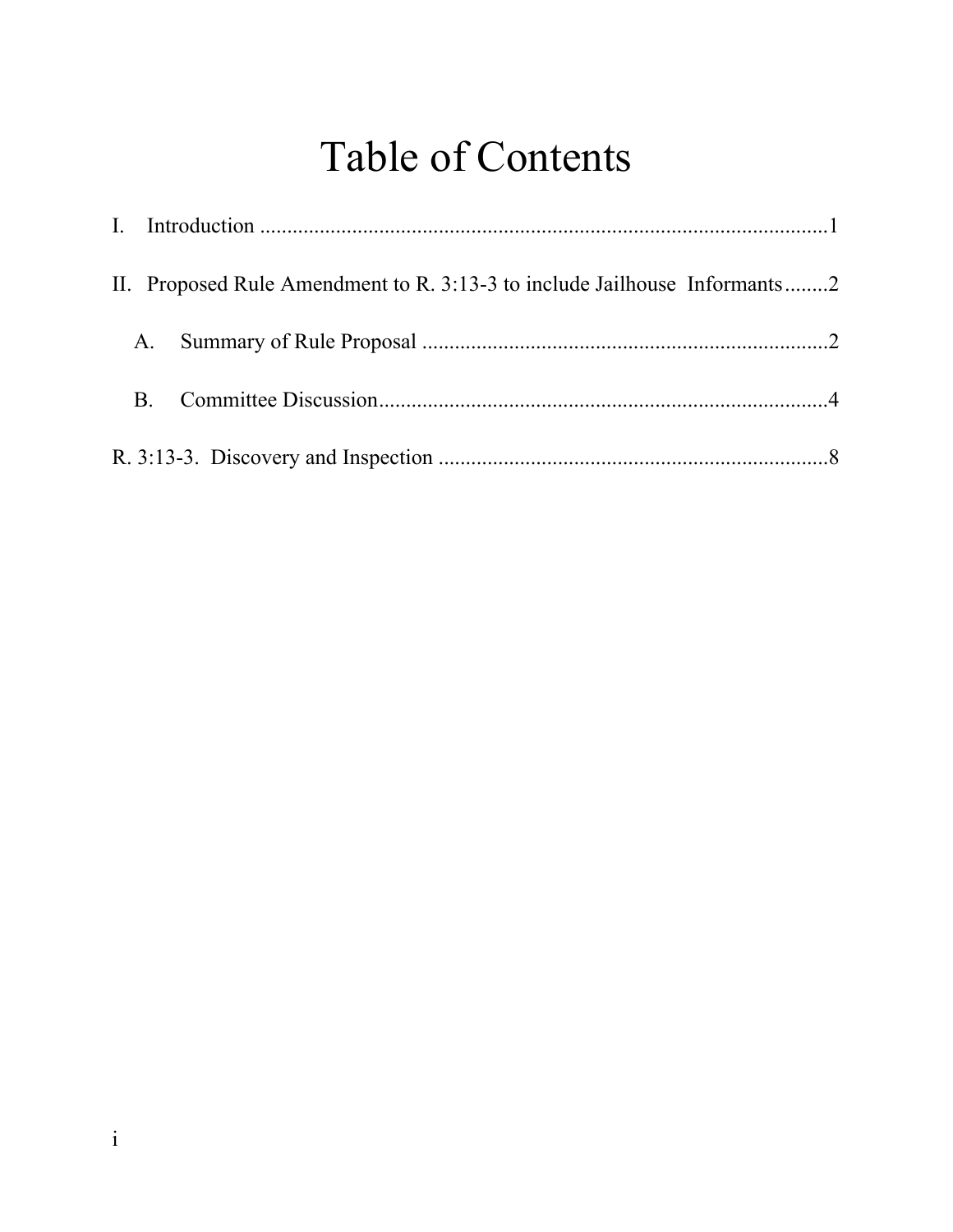# Table of Contents

|           | II. Proposed Rule Amendment to R. 3:13-3 to include Jailhouse Informants2 |  |
|-----------|---------------------------------------------------------------------------|--|
|           |                                                                           |  |
| <b>B.</b> |                                                                           |  |
|           |                                                                           |  |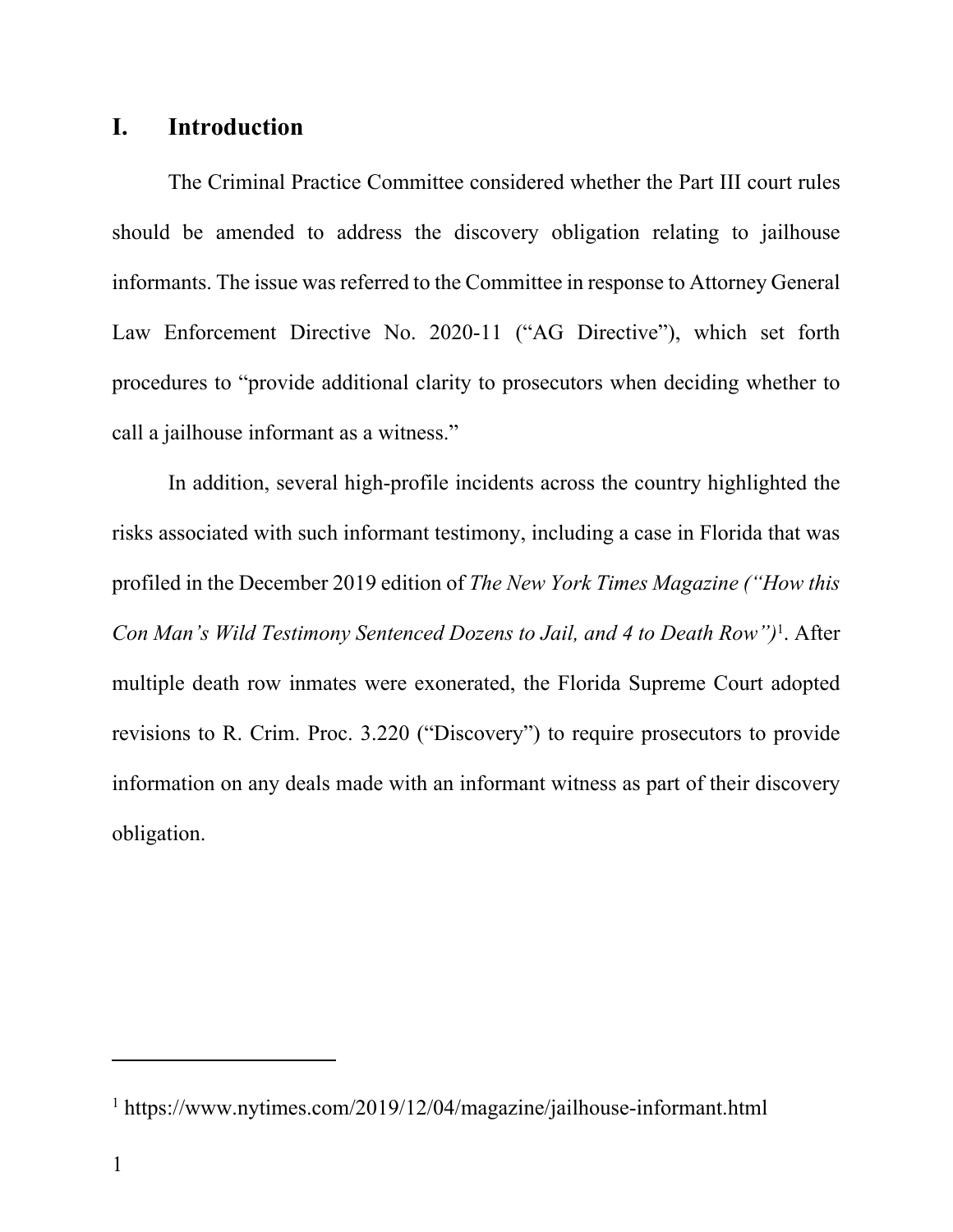### **I. Introduction**

 The Criminal Practice Committee considered whether the Part III court rules should be amended to address the discovery obligation relating to jailhouse informants. The issue was referred to the Committee in response to Attorney General Law Enforcement Directive No. 2020-11 ("AG Directive"), which set forth procedures to "provide additional clarity to prosecutors when deciding whether to call a jailhouse informant as a witness."

In addition, several high-profile incidents across the country highlighted the risks associated with such informant testimony, including a case in Florida that was profiled in the December 2019 edition of *The New York Times Magazine ("How this Con Man's Wild Testimony Sentenced Dozens to Jail, and 4 to Death Row")*<sup>1</sup> . After multiple death row inmates were exonerated, the Florida Supreme Court adopted revisions to R. Crim. Proc. 3.220 ("Discovery") to require prosecutors to provide information on any deals made with an informant witness as part of their discovery obligation.

<sup>&</sup>lt;sup>1</sup> https://www.nytimes.com/2019/12/04/magazine/jailhouse-informant.html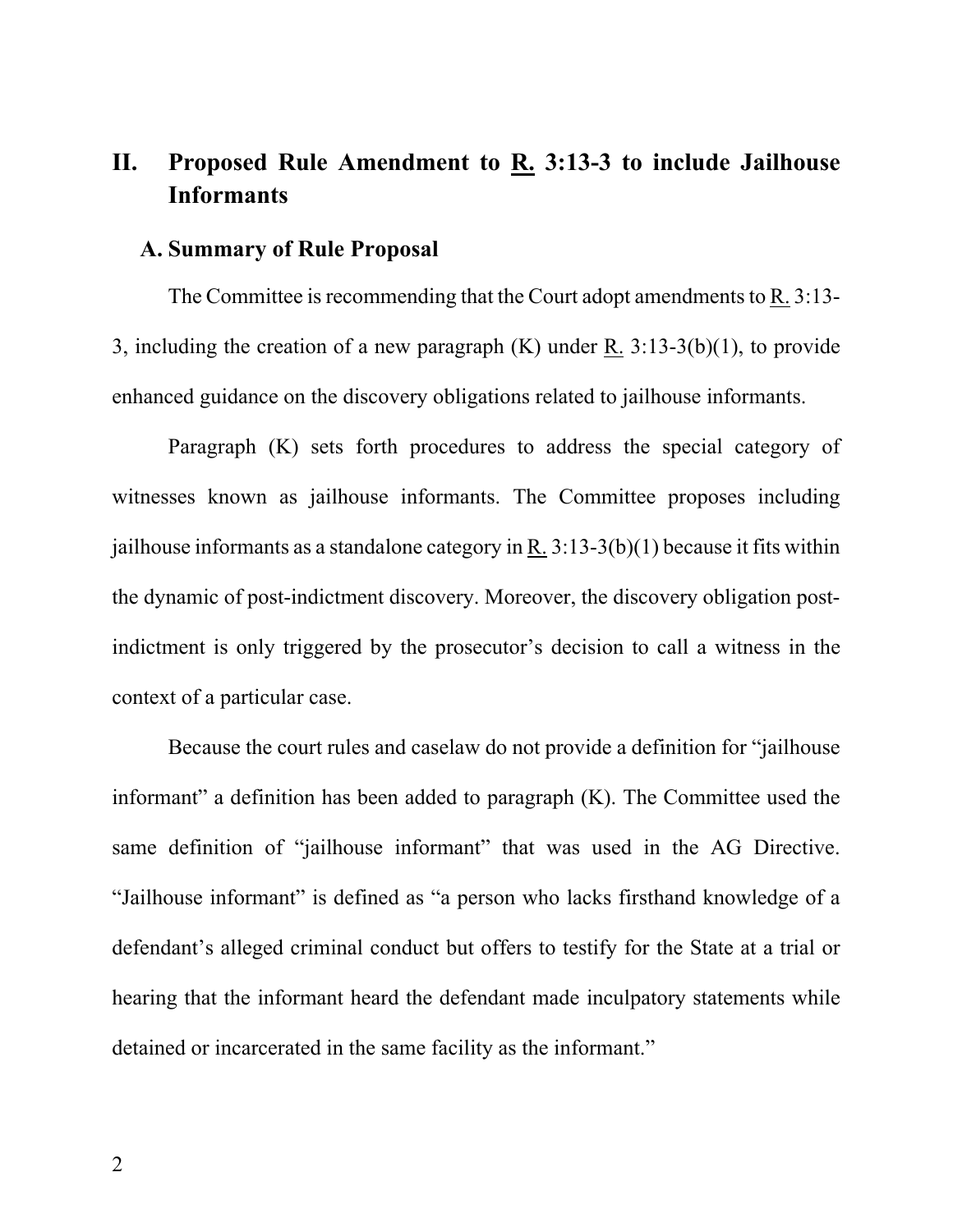### **II. Proposed Rule Amendment to R. 3:13-3 to include Jailhouse Informants**

#### **A. Summary of Rule Proposal**

The Committee is recommending that the Court adopt amendments to R. 3:13- 3, including the creation of a new paragraph (K) under R. 3:13-3(b)(1), to provide enhanced guidance on the discovery obligations related to jailhouse informants.

Paragraph (K) sets forth procedures to address the special category of witnesses known as jailhouse informants. The Committee proposes including jailhouse informants as a standalone category in R.  $3:13-3(b)(1)$  because it fits within the dynamic of post-indictment discovery. Moreover, the discovery obligation postindictment is only triggered by the prosecutor's decision to call a witness in the context of a particular case.

 Because the court rules and caselaw do not provide a definition for "jailhouse informant" a definition has been added to paragraph  $(K)$ . The Committee used the same definition of "jailhouse informant" that was used in the AG Directive. "Jailhouse informant" is defined as "a person who lacks firsthand knowledge of a defendant's alleged criminal conduct but offers to testify for the State at a trial or hearing that the informant heard the defendant made inculpatory statements while detained or incarcerated in the same facility as the informant."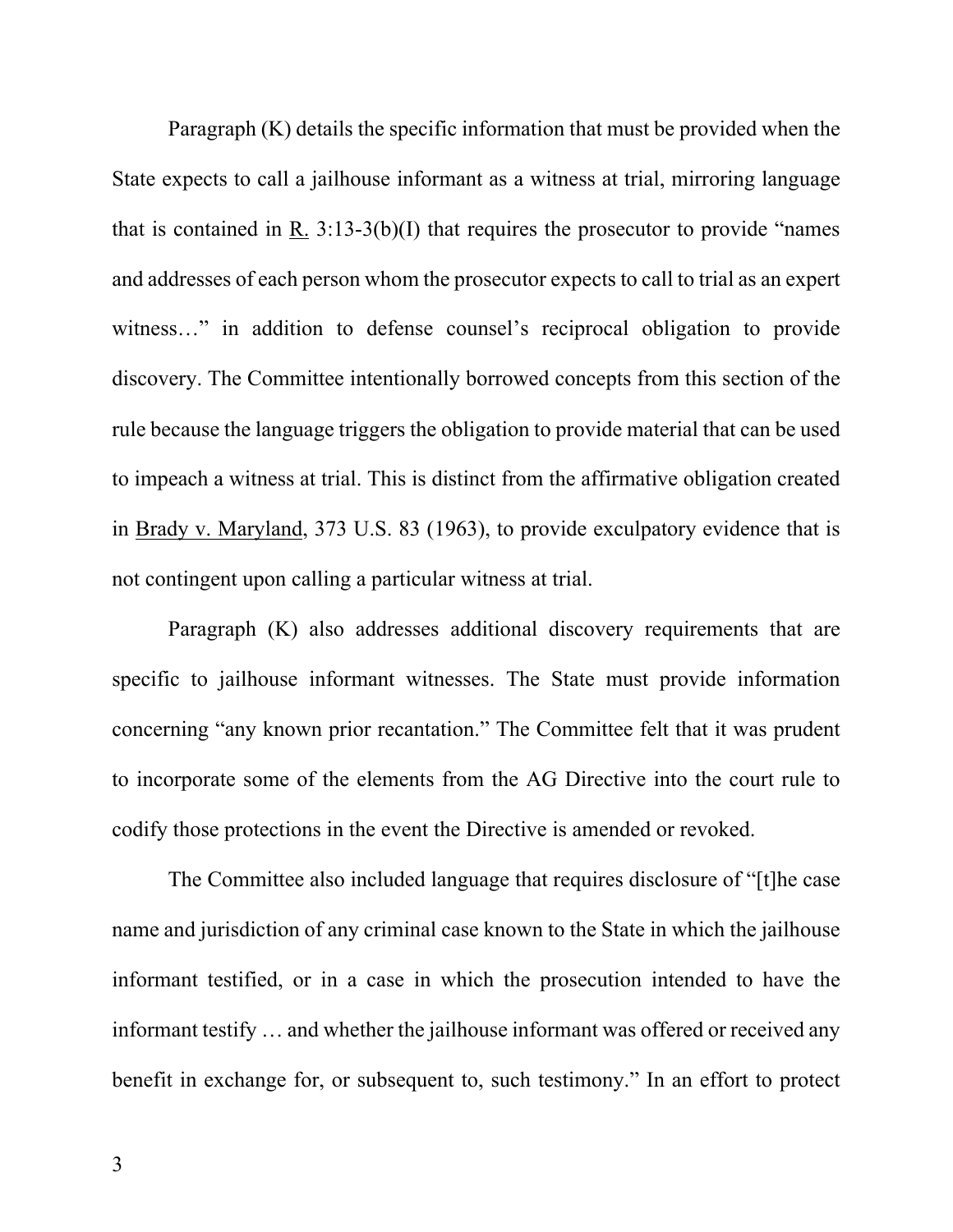Paragraph (K) details the specific information that must be provided when the State expects to call a jailhouse informant as a witness at trial, mirroring language that is contained in R.  $3:13-3(b)(I)$  that requires the prosecutor to provide "names" and addresses of each person whom the prosecutor expects to call to trial as an expert witness..." in addition to defense counsel's reciprocal obligation to provide discovery. The Committee intentionally borrowed concepts from this section of the rule because the language triggers the obligation to provide material that can be used to impeach a witness at trial. This is distinct from the affirmative obligation created in Brady v. Maryland, 373 U.S. 83 (1963), to provide exculpatory evidence that is not contingent upon calling a particular witness at trial.

 Paragraph (K) also addresses additional discovery requirements that are specific to jailhouse informant witnesses. The State must provide information concerning "any known prior recantation." The Committee felt that it was prudent to incorporate some of the elements from the AG Directive into the court rule to codify those protections in the event the Directive is amended or revoked.

 The Committee also included language that requires disclosure of "[t]he case name and jurisdiction of any criminal case known to the State in which the jailhouse informant testified, or in a case in which the prosecution intended to have the informant testify … and whether the jailhouse informant was offered or received any benefit in exchange for, or subsequent to, such testimony." In an effort to protect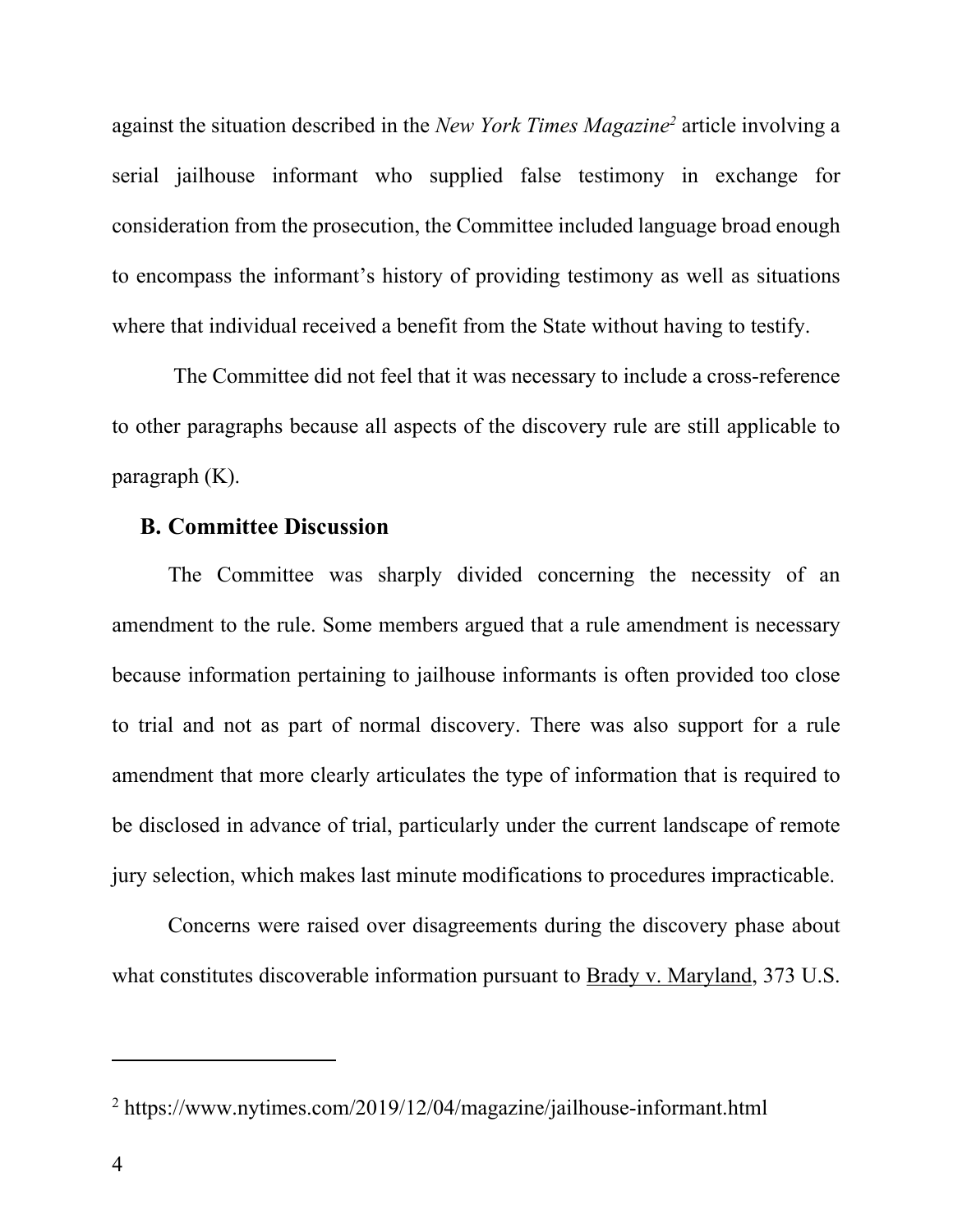against the situation described in the *New York Times Magazine*<sup>2</sup> article involving a serial jailhouse informant who supplied false testimony in exchange for consideration from the prosecution, the Committee included language broad enough to encompass the informant's history of providing testimony as well as situations where that individual received a benefit from the State without having to testify.

 The Committee did not feel that it was necessary to include a cross-reference to other paragraphs because all aspects of the discovery rule are still applicable to paragraph (K).

#### **B. Committee Discussion**

 The Committee was sharply divided concerning the necessity of an amendment to the rule. Some members argued that a rule amendment is necessary because information pertaining to jailhouse informants is often provided too close to trial and not as part of normal discovery. There was also support for a rule amendment that more clearly articulates the type of information that is required to be disclosed in advance of trial, particularly under the current landscape of remote jury selection, which makes last minute modifications to procedures impracticable.

 Concerns were raised over disagreements during the discovery phase about what constitutes discoverable information pursuant to Brady v. Maryland, 373 U.S.

<sup>&</sup>lt;sup>2</sup> https://www.nytimes.com/2019/12/04/magazine/jailhouse-informant.html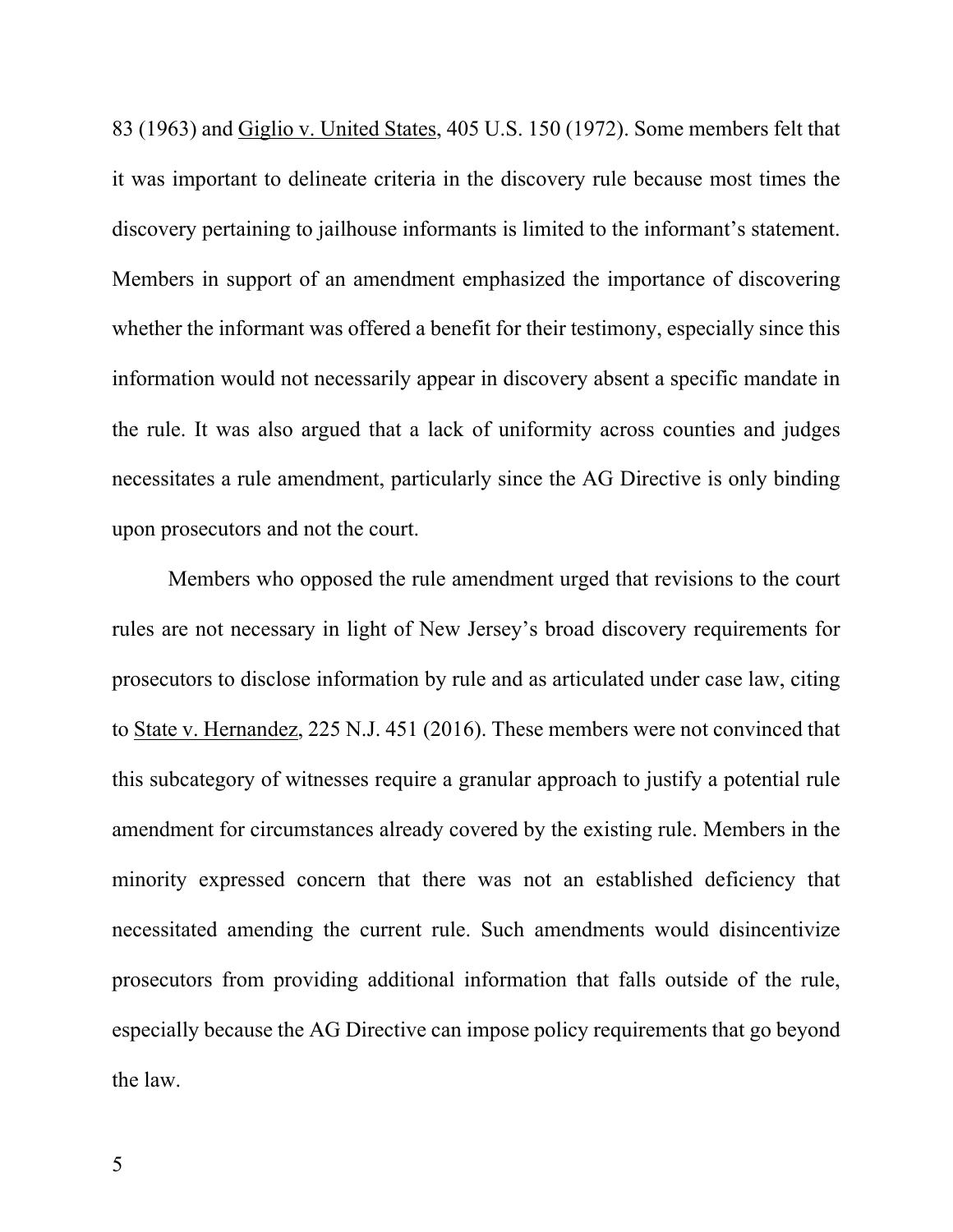83 (1963) and Giglio v. United States, 405 U.S. 150 (1972). Some members felt that it was important to delineate criteria in the discovery rule because most times the discovery pertaining to jailhouse informants is limited to the informant's statement. Members in support of an amendment emphasized the importance of discovering whether the informant was offered a benefit for their testimony, especially since this information would not necessarily appear in discovery absent a specific mandate in the rule. It was also argued that a lack of uniformity across counties and judges necessitates a rule amendment, particularly since the AG Directive is only binding upon prosecutors and not the court.

 Members who opposed the rule amendment urged that revisions to the court rules are not necessary in light of New Jersey's broad discovery requirements for prosecutors to disclose information by rule and as articulated under case law, citing to State v. Hernandez, 225 N.J. 451 (2016). These members were not convinced that this subcategory of witnesses require a granular approach to justify a potential rule amendment for circumstances already covered by the existing rule. Members in the minority expressed concern that there was not an established deficiency that necessitated amending the current rule. Such amendments would disincentivize prosecutors from providing additional information that falls outside of the rule, especially because the AG Directive can impose policy requirements that go beyond the law.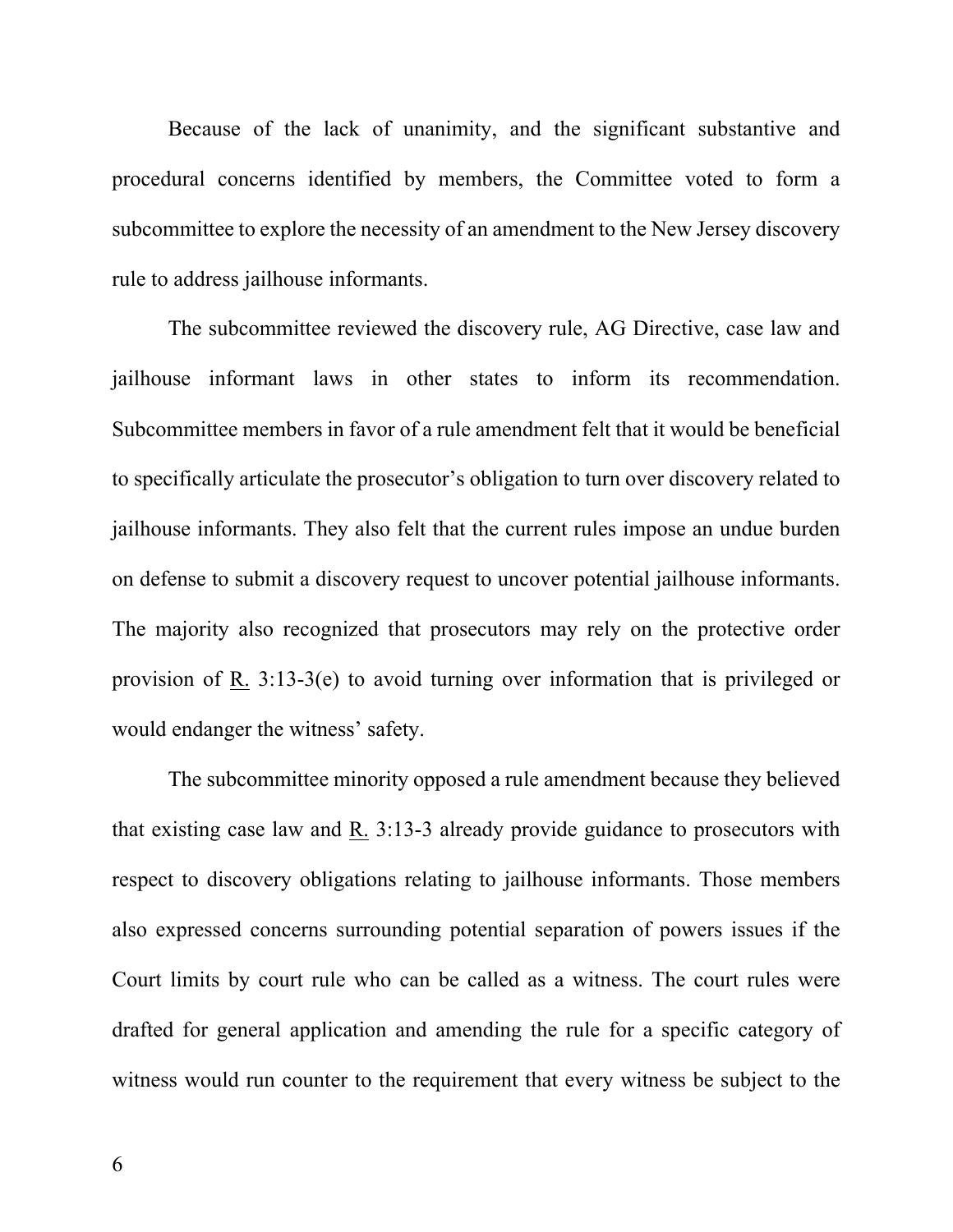Because of the lack of unanimity, and the significant substantive and procedural concerns identified by members, the Committee voted to form a subcommittee to explore the necessity of an amendment to the New Jersey discovery rule to address jailhouse informants.

 The subcommittee reviewed the discovery rule, AG Directive, case law and jailhouse informant laws in other states to inform its recommendation. Subcommittee members in favor of a rule amendment felt that it would be beneficial to specifically articulate the prosecutor's obligation to turn over discovery related to jailhouse informants. They also felt that the current rules impose an undue burden on defense to submit a discovery request to uncover potential jailhouse informants. The majority also recognized that prosecutors may rely on the protective order provision of R. 3:13-3(e) to avoid turning over information that is privileged or would endanger the witness' safety.

 The subcommittee minority opposed a rule amendment because they believed that existing case law and R. 3:13-3 already provide guidance to prosecutors with respect to discovery obligations relating to jailhouse informants. Those members also expressed concerns surrounding potential separation of powers issues if the Court limits by court rule who can be called as a witness. The court rules were drafted for general application and amending the rule for a specific category of witness would run counter to the requirement that every witness be subject to the

6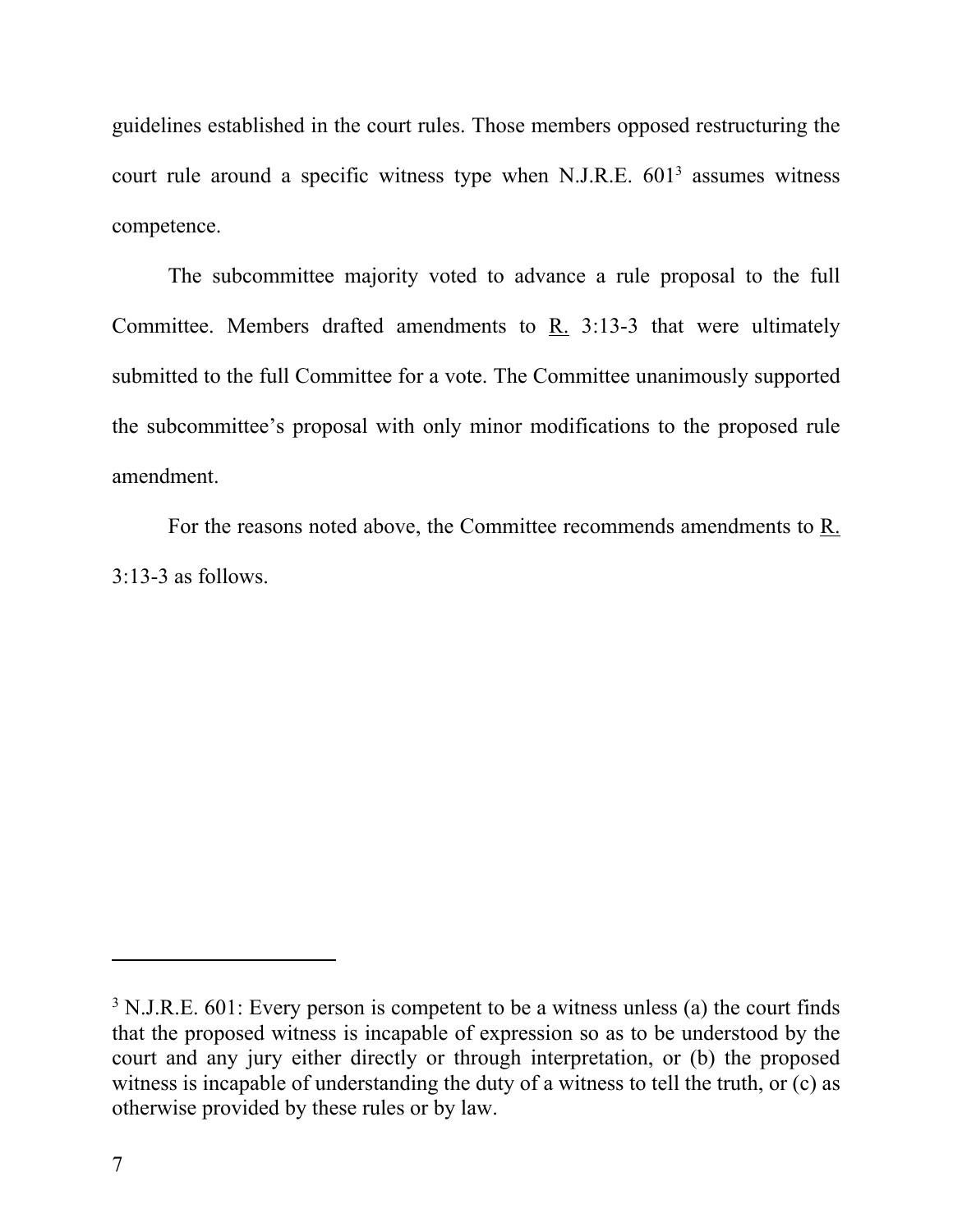guidelines established in the court rules. Those members opposed restructuring the court rule around a specific witness type when N.J.R.E.  $601<sup>3</sup>$  assumes witness competence.

 The subcommittee majority voted to advance a rule proposal to the full Committee. Members drafted amendments to R. 3:13-3 that were ultimately submitted to the full Committee for a vote. The Committee unanimously supported the subcommittee's proposal with only minor modifications to the proposed rule amendment.

For the reasons noted above, the Committee recommends amendments to R. 3:13-3 as follows.

 $3$  N.J.R.E. 601: Every person is competent to be a witness unless (a) the court finds that the proposed witness is incapable of expression so as to be understood by the court and any jury either directly or through interpretation, or (b) the proposed witness is incapable of understanding the duty of a witness to tell the truth, or (c) as otherwise provided by these rules or by law.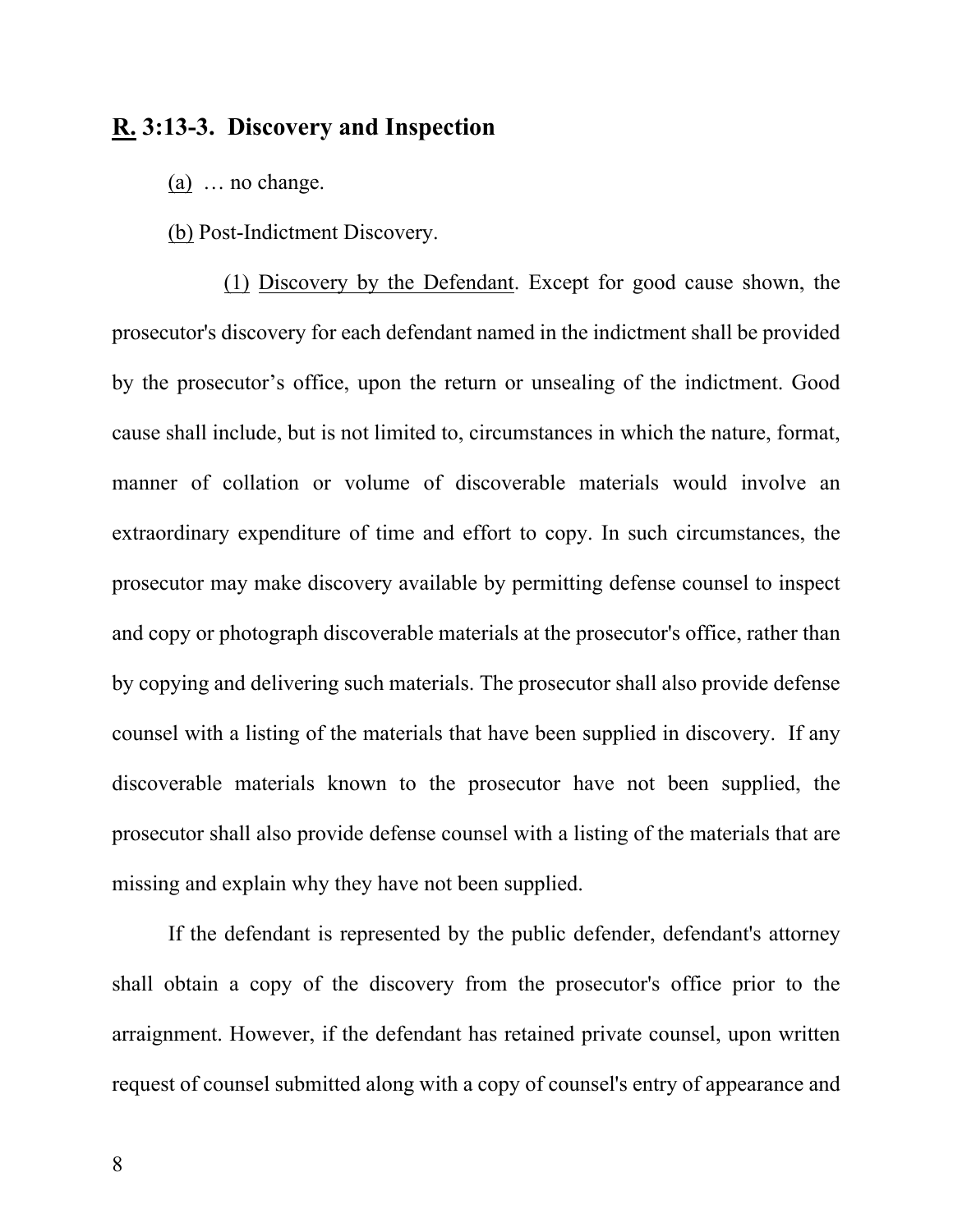#### **R. 3:13-3. Discovery and Inspection**

 $(a)$  ... no change.

(b) Post-Indictment Discovery.

(1) Discovery by the Defendant. Except for good cause shown, the prosecutor's discovery for each defendant named in the indictment shall be provided by the prosecutor's office, upon the return or unsealing of the indictment. Good cause shall include, but is not limited to, circumstances in which the nature, format, manner of collation or volume of discoverable materials would involve an extraordinary expenditure of time and effort to copy. In such circumstances, the prosecutor may make discovery available by permitting defense counsel to inspect and copy or photograph discoverable materials at the prosecutor's office, rather than by copying and delivering such materials. The prosecutor shall also provide defense counsel with a listing of the materials that have been supplied in discovery. If any discoverable materials known to the prosecutor have not been supplied, the prosecutor shall also provide defense counsel with a listing of the materials that are missing and explain why they have not been supplied.

If the defendant is represented by the public defender, defendant's attorney shall obtain a copy of the discovery from the prosecutor's office prior to the arraignment. However, if the defendant has retained private counsel, upon written request of counsel submitted along with a copy of counsel's entry of appearance and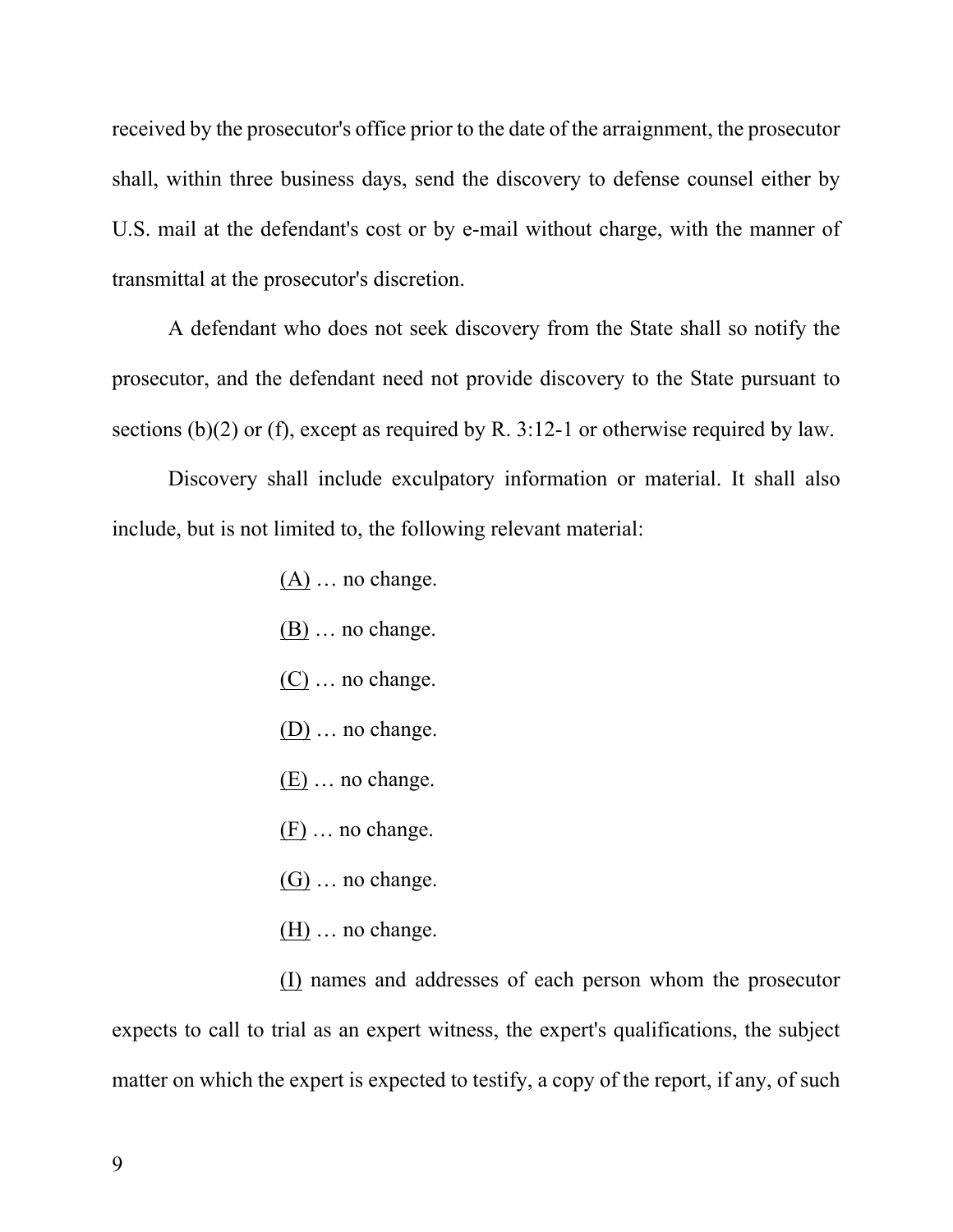received by the prosecutor's office prior to the date of the arraignment, the prosecutor shall, within three business days, send the discovery to defense counsel either by U.S. mail at the defendant's cost or by e-mail without charge, with the manner of transmittal at the prosecutor's discretion.

A defendant who does not seek discovery from the State shall so notify the prosecutor, and the defendant need not provide discovery to the State pursuant to sections (b)(2) or (f), except as required by R. 3:12-1 or otherwise required by law.

Discovery shall include exculpatory information or material. It shall also include, but is not limited to, the following relevant material:

- $(A)$  ... no change.
- $(B)$  ... no change.
- (C) … no change.
- (D) … no change.
- (E) … no change.
- (F) … no change.
- (G) … no change.
- $(H)$  ... no change.

(I) names and addresses of each person whom the prosecutor expects to call to trial as an expert witness, the expert's qualifications, the subject matter on which the expert is expected to testify, a copy of the report, if any, of such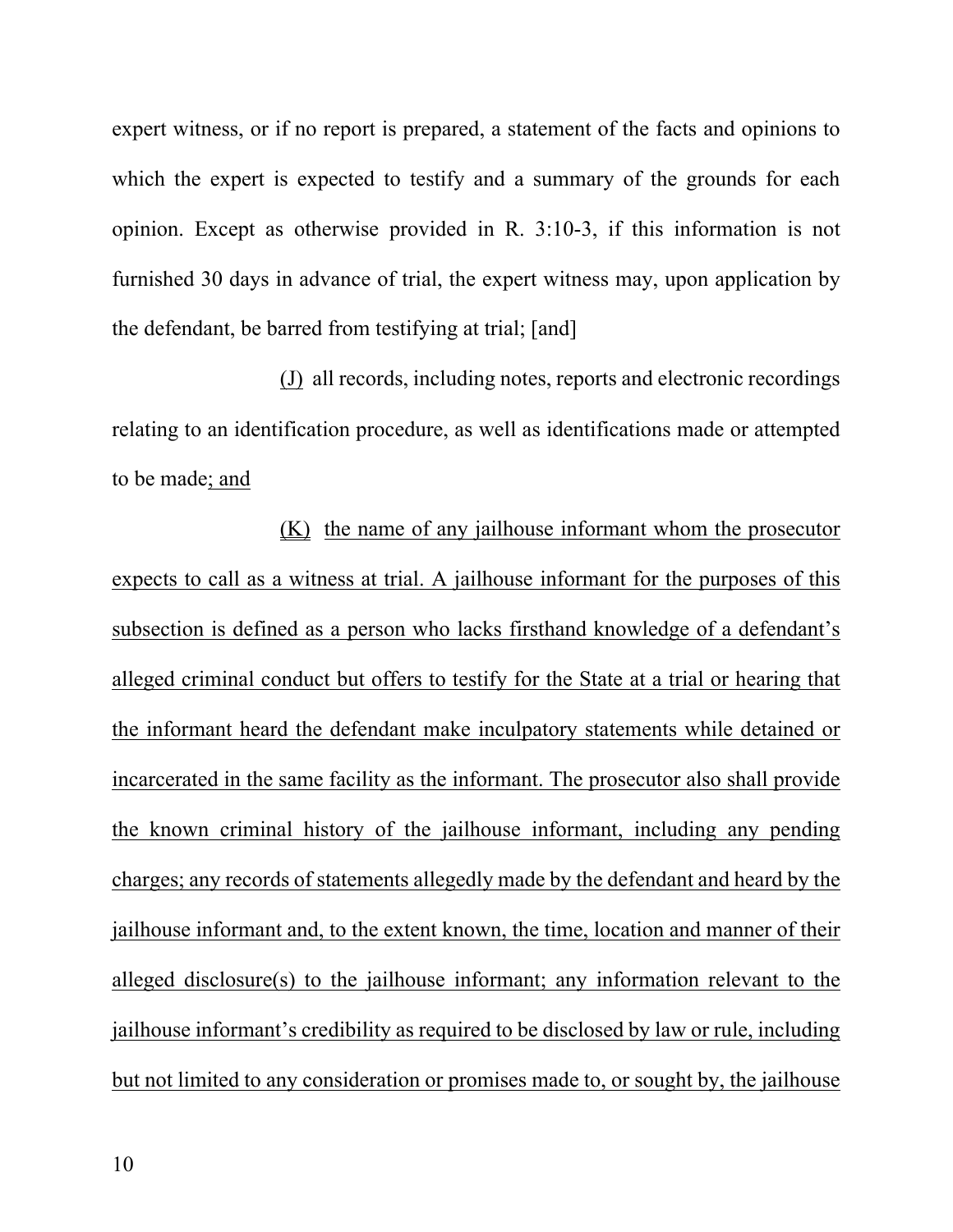expert witness, or if no report is prepared, a statement of the facts and opinions to which the expert is expected to testify and a summary of the grounds for each opinion. Except as otherwise provided in R. 3:10-3, if this information is not furnished 30 days in advance of trial, the expert witness may, upon application by the defendant, be barred from testifying at trial; [and]

(J) all records, including notes, reports and electronic recordings relating to an identification procedure, as well as identifications made or attempted to be made; and

(K) the name of any jailhouse informant whom the prosecutor expects to call as a witness at trial. A jailhouse informant for the purposes of this subsection is defined as a person who lacks firsthand knowledge of a defendant's alleged criminal conduct but offers to testify for the State at a trial or hearing that the informant heard the defendant make inculpatory statements while detained or incarcerated in the same facility as the informant. The prosecutor also shall provide the known criminal history of the jailhouse informant, including any pending charges; any records of statements allegedly made by the defendant and heard by the jailhouse informant and, to the extent known, the time, location and manner of their alleged disclosure(s) to the jailhouse informant; any information relevant to the jailhouse informant's credibility as required to be disclosed by law or rule, including but not limited to any consideration or promises made to, or sought by, the jailhouse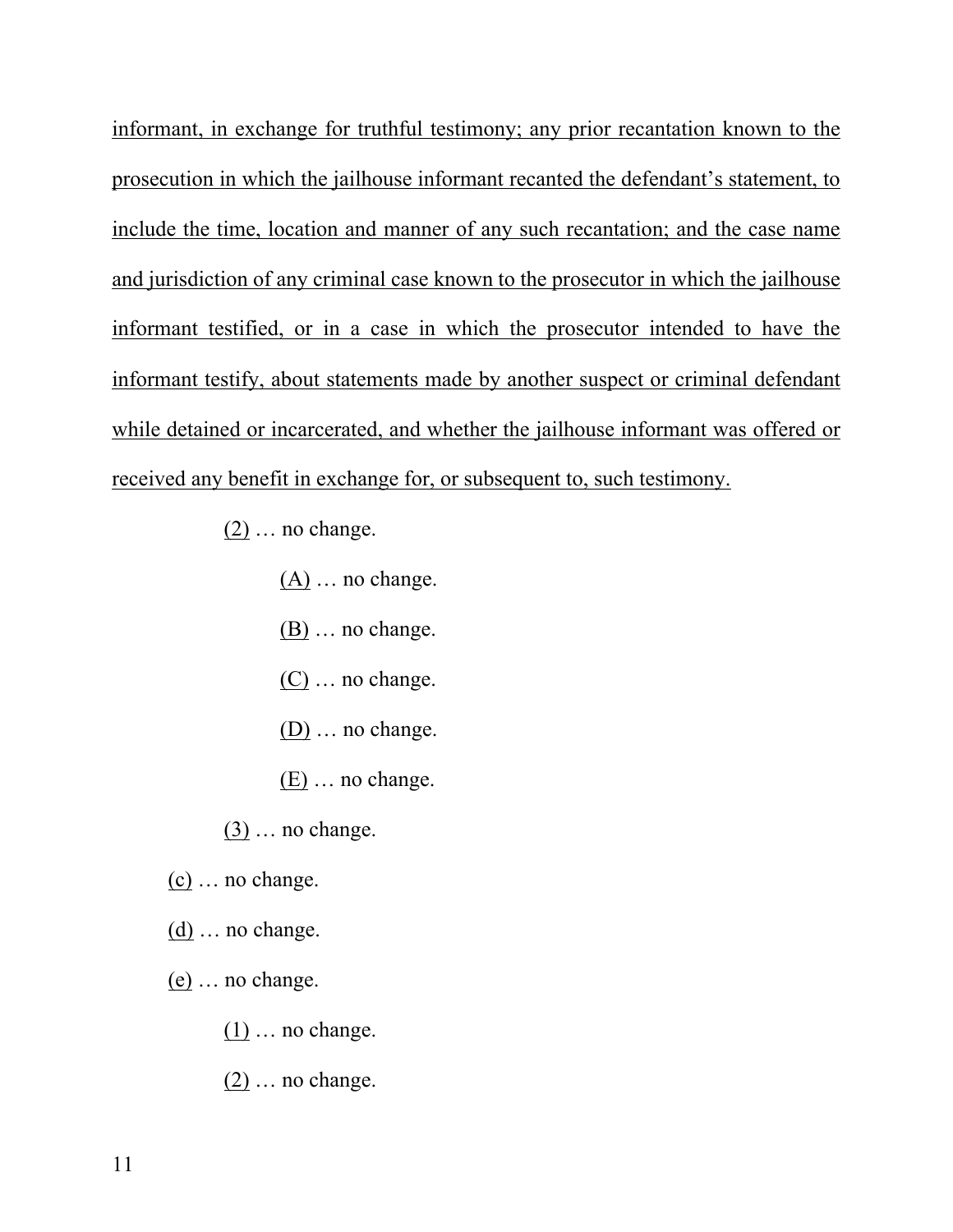informant, in exchange for truthful testimony; any prior recantation known to the prosecution in which the jailhouse informant recanted the defendant's statement, to include the time, location and manner of any such recantation; and the case name and jurisdiction of any criminal case known to the prosecutor in which the jailhouse informant testified, or in a case in which the prosecutor intended to have the informant testify, about statements made by another suspect or criminal defendant while detained or incarcerated, and whether the jailhouse informant was offered or received any benefit in exchange for, or subsequent to, such testimony.

- $(2)$  ... no change.
	- $(A)$  ... no change.
	- $(B)$  ... no change.
	- (C) … no change.
	- (D) … no change.
	- (E) … no change.
- $(3)$  ... no change.
- (c) … no change.
- (d) … no change.
- (e) … no change.
	- $(1)$  ... no change.
	- (2) … no change.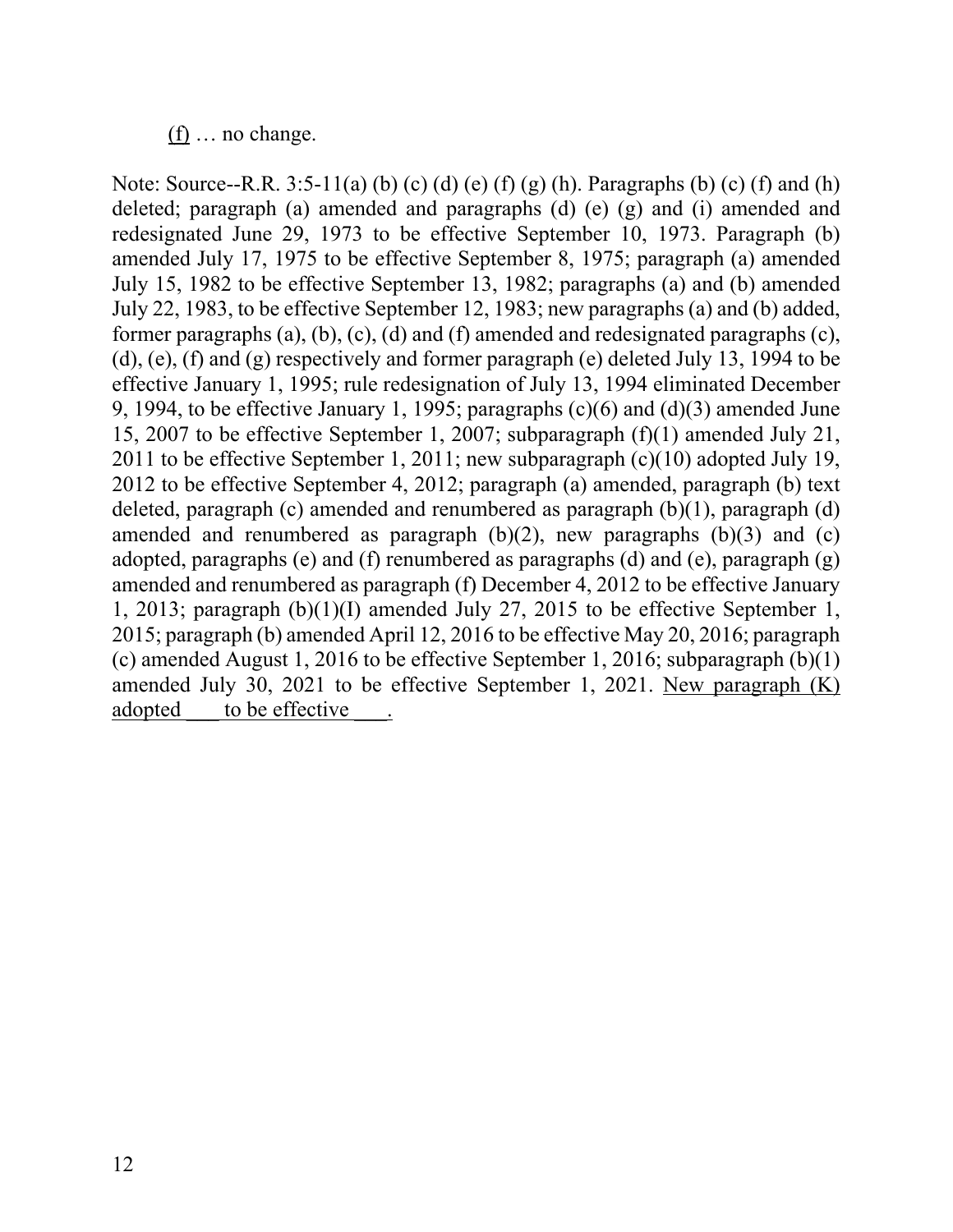#### $(f)$  ... no change.

Note: Source--R.R. 3:5-11(a) (b) (c) (d) (e) (f) (g) (h). Paragraphs (b) (c) (f) and (h) deleted; paragraph (a) amended and paragraphs (d) (e) (g) and (i) amended and redesignated June 29, 1973 to be effective September 10, 1973. Paragraph (b) amended July 17, 1975 to be effective September 8, 1975; paragraph (a) amended July 15, 1982 to be effective September 13, 1982; paragraphs (a) and (b) amended July 22, 1983, to be effective September 12, 1983; new paragraphs (a) and (b) added, former paragraphs (a), (b), (c), (d) and (f) amended and redesignated paragraphs (c), (d), (e), (f) and (g) respectively and former paragraph (e) deleted July 13, 1994 to be effective January 1, 1995; rule redesignation of July 13, 1994 eliminated December 9, 1994, to be effective January 1, 1995; paragraphs (c)(6) and (d)(3) amended June 15, 2007 to be effective September 1, 2007; subparagraph (f)(1) amended July 21, 2011 to be effective September 1, 2011; new subparagraph (c)(10) adopted July 19, 2012 to be effective September 4, 2012; paragraph (a) amended, paragraph (b) text deleted, paragraph (c) amended and renumbered as paragraph (b)(1), paragraph (d) amended and renumbered as paragraph  $(b)(2)$ , new paragraphs  $(b)(3)$  and  $(c)$ adopted, paragraphs (e) and (f) renumbered as paragraphs (d) and (e), paragraph (g) amended and renumbered as paragraph (f) December 4, 2012 to be effective January 1, 2013; paragraph (b)(1)(I) amended July 27, 2015 to be effective September 1, 2015; paragraph (b) amended April 12, 2016 to be effective May 20, 2016; paragraph (c) amended August 1, 2016 to be effective September 1, 2016; subparagraph (b)(1) amended July 30, 2021 to be effective September 1, 2021. New paragraph (K) adopted to be effective